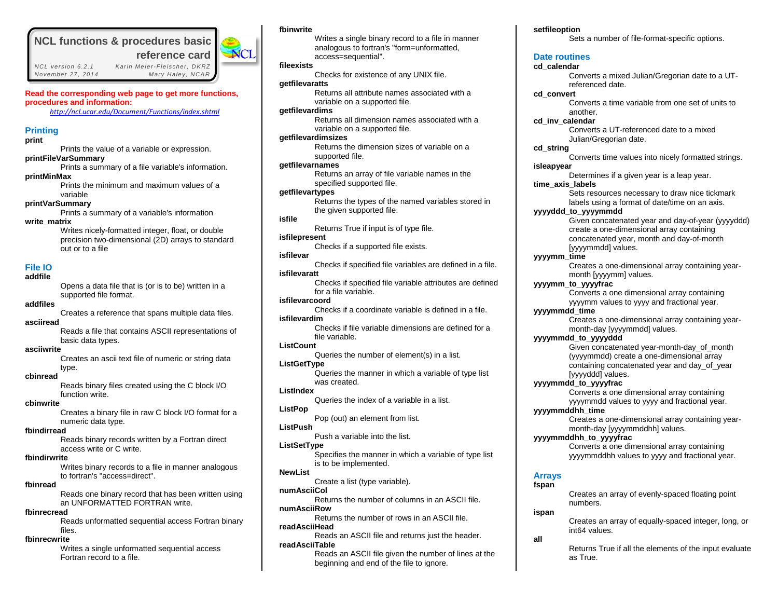# **NCL functions & procedures basic**

 *NCL vers ion 6.2.1 Kar in Me ie r-Fle ischer, DKRZ November 27 , 2014 Mary Hale y, NCAR*

 **reference card**

**NCL** 



*<http://ncl.ucar.edu/Document/Functions/index.shtml>*

# **Printing**

**print**

Prints the value of a variable or expression. **printFileVarSummary** Prints a summary of a file variable's information.

**printMinMax**

Prints the minimum and maximum values of a variable

## **printVarSummary**

Prints a summary of a variable's information **write\_matrix**

> Writes nicely-formatted integer, float, or double precision two-dimensional (2D) arrays to standard out or to a file

## **File IO**

## **addfile**

Opens a data file that is (or is to be) written in a supported file format.

# **addfiles**

Creates a reference that spans multiple data files. **asciiread**

> Reads a file that contains ASCII representations of basic data types.

# **asciiwrite**

Creates an ascii text file of numeric or string data type.

# **cbinread**

Reads binary files created using the C block I/O function write.

## **cbinwrite**

Creates a binary file in raw C block I/O format for a numeric data type.

## **fbindirread**

Reads binary records written by a Fortran direct access write or C write.

## **fbindirwrite**

Writes binary records to a file in manner analogous to fortran's "access=direct".

## **fbinread**

Reads one binary record that has been written using an UNFORMATTED FORTRAN write.

## **fbinrecread**

Reads unformatted sequential access Fortran binary files.

## **fbinrecwrite**

Writes a single unformatted sequential access Fortran record to a file.

## **fbinwrite**

Writes a single binary record to a file in manner analogous to fortran's "form=unformatted, access=sequential". **fileexists** Checks for existence of any UNIX file. **getfilevaratts** Returns all attribute names associated with a variable on a supported file. **getfilevardims** Returns all dimension names associated with a variable on a supported file. **getfilevardimsizes** Returns the dimension sizes of variable on a supported file. **getfilevarnames** Returns an array of file variable names in the specified supported file. **getfilevartypes** Returns the types of the named variables stored in the given supported file. **isfile** Returns True if input is of type file. **isfilepresent** Checks if a supported file exists. **isfilevar** Checks if specified file variables are defined in a file. **isfilevaratt** Checks if specified file variable attributes are defined for a file variable. **isfilevarcoord** Checks if a coordinate variable is defined in a file. **isfilevardim** Checks if file variable dimensions are defined for a file variable. **ListCount** Queries the number of element(s) in a list. **ListGetType** Queries the manner in which a variable of type list was created. **ListIndex**  Queries the index of a variable in a list. **ListPop** Pop (out) an element from list. **ListPush** Push a variable into the list. **ListSetType** Specifies the manner in which a variable of type list is to be implemented. **NewList**  Create a list (type variable). **numAsciiCol** Returns the number of columns in an ASCII file. **numAsciiRow** Returns the number of rows in an ASCII file. **readAsciiHead**

Reads an ASCII file and returns just the header. **readAsciiTable**

> Reads an ASCII file given the number of lines at the beginning and end of the file to ignore.

## **setfileoption**

Sets a number of file-format-specific options.

# **Date routines**

# **cd\_calendar**

Converts a mixed Julian/Gregorian date to a UTreferenced date.

# **cd\_convert**

Converts a time variable from one set of units to another.

**cd\_inv\_calendar**

Converts a UT-referenced date to a mixed Julian/Gregorian date.

**cd\_string**

Converts time values into nicely formatted strings. **isleapyear**

Determines if a given year is a leap year. **time\_axis\_labels**

> Sets resources necessary to draw nice tickmark labels using a format of date/time on an axis.

**yyyyddd\_to\_yyyymmdd**

Given concatenated year and day-of-year (yyyyddd) create a one-dimensional array containing concatenated year, month and day-of-month [yyyymmdd] values.

## **yyyymm\_time**

Creates a one-dimensional array containing yearmonth [yyyymm] values.

**yyyymm\_to\_yyyyfrac**

Converts a one dimensional array containing yyyymm values to yyyy and fractional year.

**yyyymmdd\_time**

Creates a one-dimensional array containing yearmonth-day [yyyymmdd] values.

**yyyymmdd\_to\_yyyyddd**

Given concatenated year-month-day\_of\_month (yyyymmdd) create a one-dimensional array containing concatenated year and day\_of\_year [yyyyddd] values.

## **yyyymmdd\_to\_yyyyfrac**

Converts a one dimensional array containing yyyymmdd values to yyyy and fractional year.

**yyyymmddhh\_time**

Creates a one-dimensional array containing yearmonth-day [yyyymmddhh] values.

**yyyymmddhh\_to\_yyyyfrac**

Converts a one dimensional array containing yyyymmddhh values to yyyy and fractional year.

## **Arrays fspan**

Creates an array of evenly-spaced floating point numbers.

# **ispan**

Creates an array of equally-spaced integer, long, or int64 values.

**all**

Returns True if all the elements of the input evaluate as True.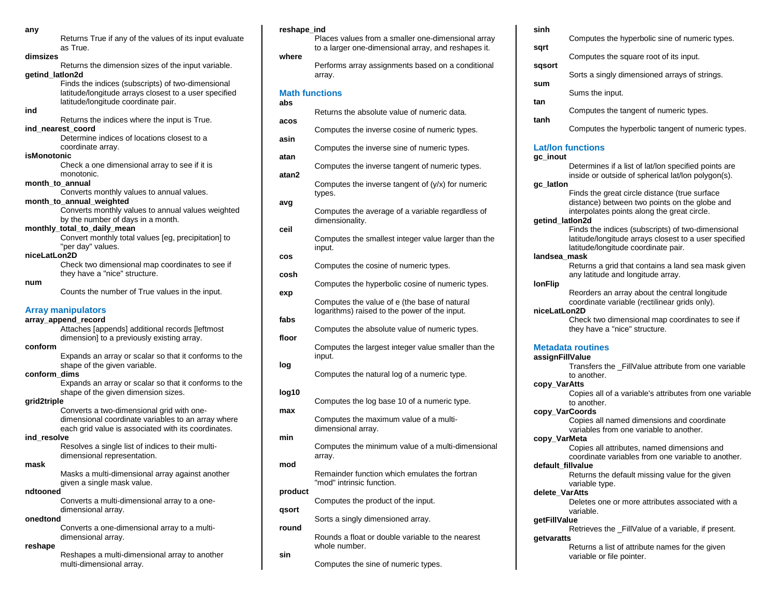| any                 |                                                                                  |
|---------------------|----------------------------------------------------------------------------------|
|                     | Returns True if any of the values of its input evaluate                          |
|                     | as True.                                                                         |
| dimsizes            |                                                                                  |
| getind lation2d     | Returns the dimension sizes of the input variable.                               |
|                     | Finds the indices (subscripts) of two-dimensional                                |
|                     | latitude/longitude arrays closest to a user specified                            |
|                     | latitude/longitude coordinate pair.                                              |
| ind                 |                                                                                  |
|                     | Returns the indices where the input is True.                                     |
|                     | ind nearest coord                                                                |
|                     | Determine indices of locations closest to a                                      |
|                     | coordinate array.                                                                |
| isMonotonic         |                                                                                  |
|                     | Check a one dimensional array to see if it is                                    |
|                     | monotonic.                                                                       |
| month_to_annual     |                                                                                  |
|                     | Converts monthly values to annual values.<br>month_to_annual_weighted            |
|                     | Converts monthly values to annual values weighted                                |
|                     | by the number of days in a month.                                                |
|                     | monthly_total_to_daily_mean                                                      |
|                     | Convert monthly total values [eg, precipitation] to                              |
|                     | "per day" values.                                                                |
| niceLatLon2D        |                                                                                  |
|                     | Check two dimensional map coordinates to see if                                  |
|                     | they have a "nice" structure.                                                    |
| num                 |                                                                                  |
|                     | Counts the number of True values in the input.                                   |
|                     | <b>Array manipulators</b>                                                        |
| array_append_record |                                                                                  |
|                     | Attaches [appends] additional records [leftmost                                  |
|                     | dimension] to a previously existing array.                                       |
| conform             |                                                                                  |
|                     | Expands an array or scalar so that it conforms to the                            |
|                     | shape of the given variable.                                                     |
| conform_dims        |                                                                                  |
|                     | Expands an array or scalar so that it conforms to the                            |
|                     | shape of the given dimension sizes.                                              |
| grid2triple         |                                                                                  |
|                     | Converts a two-dimensional grid with one-                                        |
|                     | dimensional coordinate variables to an array where                               |
|                     | each grid value is associated with its coordinates.                              |
| ind resolve         |                                                                                  |
|                     | Resolves a single list of indices to their multi-<br>dimensional representation. |
| mask                |                                                                                  |
|                     | Masks a multi-dimensional array against another                                  |
|                     | given a single mask value.                                                       |
| ndtooned            |                                                                                  |
|                     |                                                                                  |

Converts a multi-dimensional array to a onedimensional array.

## **onedtond**

Converts a one-dimensional array to a multidimensional array.

## **reshape**

Reshapes a multi-dimensional array to another multi-dimensional array.

## **reshape\_ind**

Places values from a smaller one-dimensional array to a larger one-dimensional array, and reshapes it. **where** Performs array assignments based on a conditional array. **Math functions abs** Returns the absolute value of numeric data. **acos** Computes the inverse cosine of numeric types. **asin** Computes the inverse sine of numeric types. **atan** Computes the inverse tangent of numeric types. **atan2** Computes the inverse tangent of (y/x) for numeric types. **avg** Computes the average of a variable regardless of dimensionality. **ceil** Computes the smallest integer value larger than the input. **cos** Computes the cosine of numeric types. **cosh** Computes the hyperbolic cosine of numeric types. **exp** Computes the value of e (the base of natural logarithms) raised to the power of the input. **fabs** Computes the absolute value of numeric types. **floor** Computes the largest integer value smaller than the input. **log** Computes the natural log of a numeric type. **log10** Computes the log base 10 of a numeric type. **max** Computes the maximum value of a multidimensional array. **min** Computes the minimum value of a multi-dimensional array. **mod** Remainder function which emulates the fortran "mod" intrinsic function. **product** Computes the product of the input. **qsort** Sorts a singly dimensioned array. **round** Rounds a float or double variable to the nearest whole number. **sin** Computes the sine of numeric types.

# **sinh** Computes the hyperbolic sine of numeric types. **sqrt** Computes the square root of its input. **sqsort** Sorts a singly dimensioned arrays of strings. **sum** Sums the input. **tan** Computes the tangent of numeric types. **tanh** Computes the hyperbolic tangent of numeric types. **Lat/lon functions gc\_inout** Determines if a list of lat/lon specified points are inside or outside of spherical lat/lon polygon(s).

## **gc\_latlon**

Finds the great circle distance (true surface distance) between two points on the globe and interpolates points along the great circle.

## **getind\_latlon2d**

Finds the indices (subscripts) of two-dimensional latitude/longitude arrays closest to a user specified latitude/longitude coordinate pair.

## **landsea\_mask**

Returns a grid that contains a land sea mask given any latitude and longitude array.

## **lonFlip**

Reorders an array about the central longitude coordinate variable (rectilinear grids only).

**niceLatLon2D**

Check two dimensional map coordinates to see if they have a "nice" structure.

# **Metadata routines**

**assignFillValue**

Transfers the \_FillValue attribute from one variable to another.

**copy\_VarAtts**

Copies all of a variable's attributes from one variable to another.

**copy\_VarCoords**

Copies all named dimensions and coordinate variables from one variable to another.

**copy\_VarMeta**

Copies all attributes, named dimensions and coordinate variables from one variable to another.

# **default\_fillvalue**

Returns the default missing value for the given variable type.

# **delete\_VarAtts**

Deletes one or more attributes associated with a variable.

**getFillValue**

Retrieves the FillValue of a variable, if present. **getvaratts**

Returns a list of attribute names for the given variable or file pointer.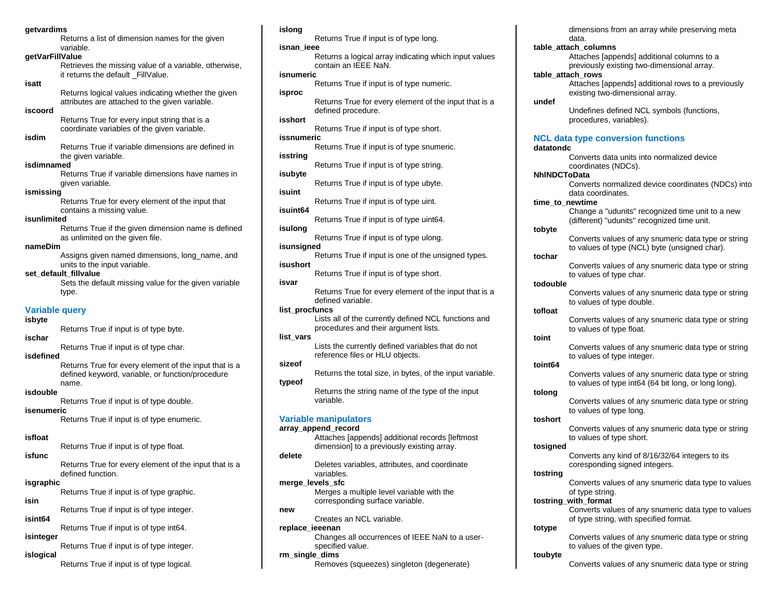## **getvardims**

Returns a list of dimension names for the given variable.

## **getVarFillValue**

Retrieves the missing value of a variable, otherwise, it returns the default FillValue.

## **isatt**

Returns logical values indicating whether the given attributes are attached to the given variable.

## **iscoord**

Returns True for every input string that is a coordinate variables of the given variable.

# **isdim**

Returns True if variable dimensions are defined in the given variable.

## **isdimnamed**

Returns True if variable dimensions have names in given variable.

## **ismissing**

Returns True for every element of the input that contains a missing value.

## **isunlimited**

Returns True if the given dimension name is defined as unlimited on the given file.

## **nameDim**

Assigns given named dimensions, long name, and units to the input variable.

## **set\_default\_fillvalue**

Sets the default missing value for the given variable type.

## **Variable query**

## **isbyte**

Returns True if input is of type byte. **ischar**

Returns True if input is of type char.

## **isdefined**

Returns True for every element of the input that is a defined keyword, variable, or function/procedure name.

## **isdouble**

Returns True if input is of type double.

# **isenumeric**

Returns True if input is of type enumeric.

## **isfloat**

Returns True if input is of type float.

## **isfunc**

Returns True for every element of the input that is a defined function.

### **isgraphic**

Returns True if input is of type graphic.

**isin**

Returns True if input is of type integer.

**isint64**

Returns True if input is of type int64. **isinteger**

Returns True if input is of type integer. **islogical**

Returns True if input is of type logical.

### **islong**

Returns True if input is of type long. **isnan\_ieee** Returns a logical array indicating which input values contain an IEEE NaN. **isnumeric** Returns True if input is of type numeric. **isproc** Returns True for every element of the input that is a defined procedure. **isshort** Returns True if input is of type short. **issnumeric** Returns True if input is of type snumeric. **isstring** Returns True if input is of type string. **isubyte** Returns True if input is of type ubyte. **isuint** Returns True if input is of type uint. **isuint64** Returns True if input is of type uint64. **isulong** Returns True if input is of type ulong. **isunsigned** Returns True if input is one of the unsigned types. **isushort** Returns True if input is of type short. **isvar** Returns True for every element of the input that is a defined variable. **list\_procfuncs** Lists all of the currently defined NCL functions and procedures and their argument lists. **list\_vars** Lists the currently defined variables that do not reference files or HLU objects. **sizeof** Returns the total size, in bytes, of the input variable. **typeof** Returns the string name of the type of the input variable. **Variable manipulators array\_append\_record** Attaches [appends] additional records [leftmost dimension] to a previously existing array. **delete** Deletes variables, attributes, and coordinate variables. **merge\_levels\_sfc** Merges a multiple level variable with the corresponding surface variable.

# **new**

Creates an NCL variable.

## **replace\_ieeenan**

Changes all occurrences of IEEE NaN to a userspecified value.

## **rm\_single\_dims**

Removes (squeezes) singleton (degenerate)

## dimensions from an array while preserving meta data. **table\_attach\_columns** Attaches [appends] additional columns to a previously existing two-dimensional array. **table\_attach\_rows** Attaches [appends] additional rows to a previously existing two-dimensional array. **undef** Undefines defined NCL symbols (functions, procedures, variables). **NCL data type conversion functions datatondc** Converts data units into normalized device coordinates (NDCs). **NhlNDCToData** Converts normalized device coordinates (NDCs) into data coordinates. **time\_to\_newtime** Change a "udunits" recognized time unit to a new (different) "udunits" recognized time unit. **tobyte** Converts values of any snumeric data type or string to values of type (NCL) byte (unsigned char). **tochar** Converts values of any snumeric data type or string to values of type char. **todouble** Converts values of any snumeric data type or string to values of type double. **tofloat** Converts values of any snumeric data type or string to values of type float. **toint** Converts values of any snumeric data type or string to values of type integer. **toint64** Converts values of any snumeric data type or string to values of type int64 (64 bit long, or long long). **tolong** Converts values of any snumeric data type or string to values of type long.

## **toshort**

Converts values of any snumeric data type or string to values of type short.

# **tosigned**

Converts any kind of 8/16/32/64 integers to its coresponding signed integers.

# **tostring**

Converts values of any snumeric data type to values of type string.

## **tostring\_with\_format**

Converts values of any snumeric data type to values of type string, with specified format.

## **totype**

Converts values of any snumeric data type or string to values of the given type.

## **toubyte**

Converts values of any snumeric data type or string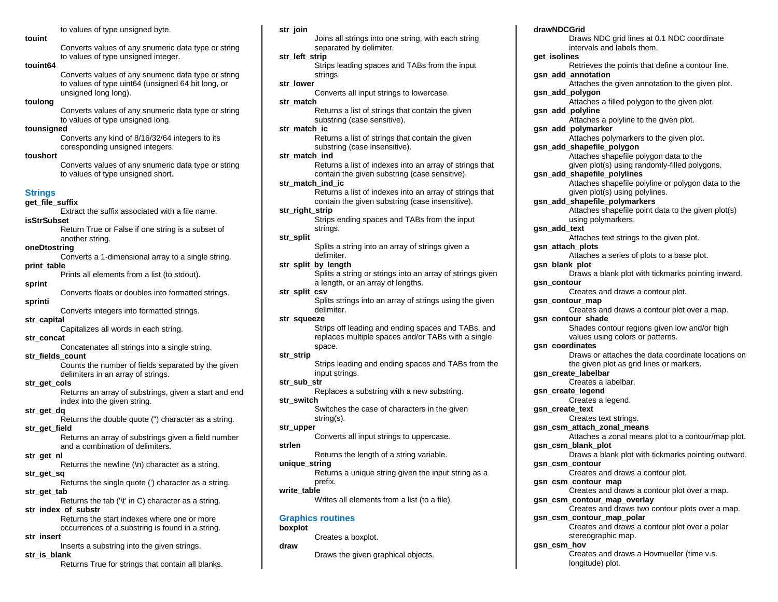to values of type unsigned byte.

## **touint**

Converts values of any snumeric data type or string to values of type unsigned integer.

## **touint64**

Converts values of any snumeric data type or string to values of type uint64 (unsigned 64 bit long, or unsigned long long).

## **toulong**

Converts values of any snumeric data type or string to values of type unsigned long.

## **tounsigned**

Converts any kind of 8/16/32/64 integers to its coresponding unsigned integers.

## **toushort**

Converts values of any snumeric data type or string to values of type unsigned short.

# **Strings**

**get\_file\_suffix**

Extract the suffix associated with a file name. **isStrSubset**

> Return True or False if one string is a subset of another string.

## **oneDtostring**

Converts a 1-dimensional array to a single string. **print\_table**

Prints all elements from a list (to stdout).

# **sprint**

Converts floats or doubles into formatted strings. **sprinti**

## Converts integers into formatted strings.

**str\_capital**

Capitalizes all words in each string.

# **str\_concat**

Concatenates all strings into a single string.

## **str\_fields\_count**

Counts the number of fields separated by the given delimiters in an array of strings.

## **str\_get\_cols**

Returns an array of substrings, given a start and end index into the given string.

## **str\_get\_dq**

Returns the double quote (") character as a string.

# **str\_get\_field**

Returns an array of substrings given a field number and a combination of delimiters.

# **str\_get\_nl**

Returns the newline (\n) character as a string.

# **str\_get\_sq**

Returns the single quote (') character as a string. **str\_get\_tab**

Returns the tab ('\t' in C) character as a string. **str\_index\_of\_substr**

> Returns the start indexes where one or more occurrences of a substring is found in a string.

# **str\_insert**

Inserts a substring into the given strings.

## **str\_is\_blank**

Returns True for strings that contain all blanks.

## **str\_join**

Joins all strings into one string, with each string separated by delimiter.

# **str\_left\_strip**

Strips leading spaces and TABs from the input strings.

# **str\_lower**

Converts all input strings to lowercase.

# **str\_match**

Returns a list of strings that contain the given substring (case sensitive).

## **str\_match\_ic**

Returns a list of strings that contain the given substring (case insensitive).

## **str\_match\_ind**

Returns a list of indexes into an array of strings that contain the given substring (case sensitive).

# **str\_match\_ind\_ic**

Returns a list of indexes into an array of strings that contain the given substring (case insensitive).

# **str\_right\_strip**

Strips ending spaces and TABs from the input strings.

# **str\_split**

Splits a string into an array of strings given a delimiter.

## **str\_split\_by\_length**

Splits a string or strings into an array of strings given a length, or an array of lengths.

## **str\_split\_csv**

Splits strings into an array of strings using the given delimiter.

## **str\_squeeze**

Strips off leading and ending spaces and TABs, and replaces multiple spaces and/or TABs with a single space.

## **str\_strip**

Strips leading and ending spaces and TABs from the input strings.

# **str\_sub\_str**

Replaces a substring with a new substring. **str\_switch**

Switches the case of characters in the given string(s).

# **str\_upper**

Converts all input strings to uppercase.

## **strlen**

Returns the length of a string variable.

# **unique\_string**

Returns a unique string given the input string as a prefix.

## **write\_table**

Writes all elements from a list (to a file).

## **Graphics routines**

# **boxplot draw**

Creates a boxplot.

## Draws the given graphical objects.

**drawNDCGrid**

Draws NDC grid lines at 0.1 NDC coordinate intervals and labels them. **get\_isolines** Retrieves the points that define a contour line. **gsn\_add\_annotation** Attaches the given annotation to the given plot. **gsn\_add\_polygon** Attaches a filled polygon to the given plot. **gsn\_add\_polyline** Attaches a polyline to the given plot. **gsn\_add\_polymarker** Attaches polymarkers to the given plot. **gsn\_add\_shapefile\_polygon** Attaches shapefile polygon data to the given plot(s) using randomly-filled polygons. **gsn\_add\_shapefile\_polylines** Attaches shapefile polyline or polygon data to the given plot(s) using polylines. **gsn\_add\_shapefile\_polymarkers** Attaches shapefile point data to the given plot(s) using polymarkers. **gsn\_add\_text** Attaches text strings to the given plot. **gsn\_attach\_plots** Attaches a series of plots to a base plot. **gsn\_blank\_plot** Draws a blank plot with tickmarks pointing inward. **gsn\_contour** Creates and draws a contour plot. **gsn\_contour\_map** Creates and draws a contour plot over a map. **gsn\_contour\_shade** Shades contour regions given low and/or high values using colors or patterns. **gsn\_coordinates** Draws or attaches the data coordinate locations on the given plot as grid lines or markers. **gsn\_create\_labelbar** Creates a labelbar. **gsn\_create\_legend** Creates a legend. **gsn\_create\_text** Creates text strings. **gsn\_csm\_attach\_zonal\_means** Attaches a zonal means plot to a contour/map plot. **gsn\_csm\_blank\_plot** Draws a blank plot with tickmarks pointing outward. **gsn\_csm\_contour** Creates and draws a contour plot. **gsn\_csm\_contour\_map** Creates and draws a contour plot over a map.

**gsn\_csm\_contour\_map\_overlay**

# Creates and draws two contour plots over a map.

**gsn\_csm\_contour\_map\_polar**  Creates and draws a contour plot over a polar stereographic map.

# **gsn\_csm\_hov**

Creates and draws a Hovmueller (time v.s. longitude) plot.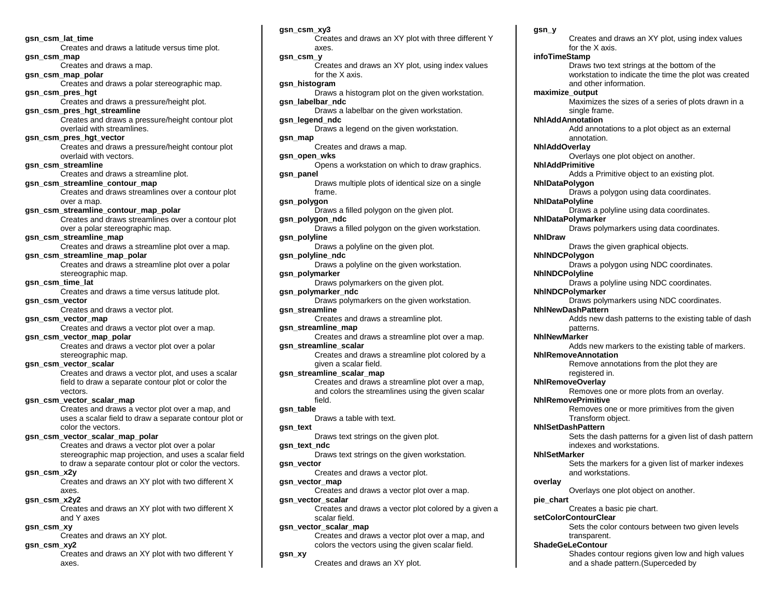**gsn\_csm\_lat\_time** Creates and draws a latitude versus time plot. **gsn\_csm\_map** Creates and draws a map. **gsn\_csm\_map\_polar** Creates and draws a polar stereographic map. **gsn\_csm\_pres\_hgt** Creates and draws a pressure/height plot. **gsn\_csm\_pres\_hgt\_streamline** Creates and draws a pressure/height contour plot overlaid with streamlines. **gsn\_csm\_pres\_hgt\_vector** Creates and draws a pressure/height contour plot overlaid with vectors. **gsn\_csm\_streamline** Creates and draws a streamline plot. **gsn\_csm\_streamline\_contour\_map** Creates and draws streamlines over a contour plot over a map. **gsn\_csm\_streamline\_contour\_map\_polar** Creates and draws streamlines over a contour plot over a polar stereographic map. **gsn\_csm\_streamline\_map** Creates and draws a streamline plot over a map. **gsn\_csm\_streamline\_map\_polar** Creates and draws a streamline plot over a polar stereographic map. **gsn\_csm\_time\_lat** Creates and draws a time versus latitude plot. **gsn\_csm\_vector** Creates and draws a vector plot. **gsn\_csm\_vector\_map** Creates and draws a vector plot over a map. **gsn\_csm\_vector\_map\_polar** Creates and draws a vector plot over a polar stereographic map. **gsn\_csm\_vector\_scalar** Creates and draws a vector plot, and uses a scalar field to draw a separate contour plot or color the vectors. **gsn\_csm\_vector\_scalar\_map** Creates and draws a vector plot over a map, and uses a scalar field to draw a separate contour plot or color the vectors. **gsn\_csm\_vector\_scalar\_map\_polar** Creates and draws a vector plot over a polar stereographic map projection, and uses a scalar field to draw a separate contour plot or color the vectors. **gsn\_csm\_x2y** Creates and draws an XY plot with two different X axes. **gsn\_csm\_x2y2** Creates and draws an XY plot with two different X and Y axes **gsn\_csm\_xy** Creates and draws an XY plot. **gsn\_csm\_xy2** Creates and draws an XY plot with two different Y axes.

**gsn\_csm\_xy3** Creates and draws an XY plot with three different Y axes. **gsn\_csm\_y** Creates and draws an XY plot, using index values for the X axis. **gsn\_histogram** Draws a histogram plot on the given workstation. **gsn\_labelbar\_ndc** Draws a labelbar on the given workstation. **gsn\_legend\_ndc** Draws a legend on the given workstation. **gsn\_map** Creates and draws a map. **gsn\_open\_wks** Opens a workstation on which to draw graphics. **gsn\_panel** Draws multiple plots of identical size on a single frame. **gsn\_polygon**  Draws a filled polygon on the given plot. **gsn\_polygon\_ndc** Draws a filled polygon on the given workstation. **gsn\_polyline** Draws a polyline on the given plot. **gsn\_polyline\_ndc** Draws a polyline on the given workstation. **gsn\_polymarker** Draws polymarkers on the given plot. **gsn\_polymarker\_ndc** Draws polymarkers on the given workstation. **gsn\_streamline** Creates and draws a streamline plot. **gsn\_streamline\_map** Creates and draws a streamline plot over a map. **gsn\_streamline\_scalar** Creates and draws a streamline plot colored by a given a scalar field. **gsn\_streamline\_scalar\_map** Creates and draws a streamline plot over a map, and colors the streamlines using the given scalar field. **gsn\_table** Draws a table with text. **gsn\_text** Draws text strings on the given plot. **gsn\_text\_ndc** Draws text strings on the given workstation. **gsn\_vector** Creates and draws a vector plot. **gsn\_vector\_map** Creates and draws a vector plot over a map. **gsn\_vector\_scalar** Creates and draws a vector plot colored by a given a scalar field. **gsn\_vector\_scalar\_map** Creates and draws a vector plot over a map, and colors the vectors using the given scalar field. **gsn\_xy** Creates and draws an XY plot.

Creates and draws an XY plot, using index values for the X axis. **infoTimeStamp** Draws two text strings at the bottom of the workstation to indicate the time the plot was created and other information. **maximize\_output** Maximizes the sizes of a series of plots drawn in a single frame. **NhlAddAnnotation** Add annotations to a plot object as an external annotation. **NhlAddOverlay** Overlays one plot object on another. **NhlAddPrimitive** Adds a Primitive object to an existing plot. **NhlDataPolygon** Draws a polygon using data coordinates. **NhlDataPolyline** Draws a polyline using data coordinates. **NhlDataPolymarker**  Draws polymarkers using data coordinates. **NhlDraw** Draws the given graphical objects. **NhlNDCPolygon** Draws a polygon using NDC coordinates. **NhlNDCPolyline** Draws a polyline using NDC coordinates. **NhlNDCPolymarker** Draws polymarkers using NDC coordinates. **NhlNewDashPattern** Adds new dash patterns to the existing table of dash patterns. **NhlNewMarker** Adds new markers to the existing table of markers. **NhlRemoveAnnotation** Remove annotations from the plot they are registered in. **NhlRemoveOverlay**  Removes one or more plots from an overlay. **NhlRemovePrimitive** Removes one or more primitives from the given Transform object. **NhlSetDashPattern** Sets the dash patterns for a given list of dash pattern indexes and workstations. **NhlSetMarker** Sets the markers for a given list of marker indexes and workstations. **overlay** Overlays one plot object on another. **pie\_chart** Creates a basic pie chart. **setColorContourClear** Sets the color contours between two given levels transparent. **ShadeGeLeContour** Shades contour regions given low and high values and a shade pattern.(Superceded by

**gsn\_y**